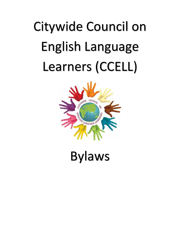# Citywide Council on English Language Learners (CCELL)



Bylaws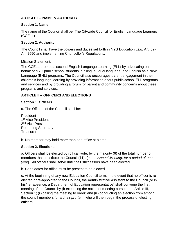# **ARTICLE I – NAME & AUTHORITY**

# **Section 1. Name**

The name of the Council shall be: The Citywide Council for English Language Learners (CCELL)

# **Section 2. Authority**

The Council shall have the powers and duties set forth in NYS Education Law, Art. 52- A, §2590 and implementing Chancellor's Regulations.

# Mission Statement:

The CCELL promotes second English Language Learning (ELL) by advocating on behalf of NYC public school students in bilingual, dual language, and English as a New Language (ENL) programs. The Council also encourages parent engagement in their children's language learning by providing information about public school ELL programs and services and by providing a forum for parent and community concerns about these programs and services.

# **ARTICLE II – OFFICERS AND ELECTIONS**

# **Section 1. Officers**

a. The Officers of the Council shall be:

President 1<sup>st</sup> Vice President 2<sup>nd</sup> Vice President Recording Secretary **Treasurer** 

b. No member may hold more than one office at a time.

# **Section 2. Elections**

a. Officers shall be elected by roll call vote, by the majority (6) of the total number of members that constitute the Council (11), [*at the Annual Meeting, for a period of one year*]. All officers shall serve until their successors have been elected.

b. Candidates for office must be present to be elected.

c. At the beginning of any new Education Council term, in the event that no officer is reelected or re-appointed to the Council, the Administrative Assistant to the Council (or in his/her absence, a Department of Education representative) shall convene the first meeting of the Council by (i) executing the notice of meeting pursuant to Article III, Section 1; (ii) calling the meeting to order; and (iii) conducting an election from among the council members for a chair *pro-tem*, who will then begin the process of electing officers.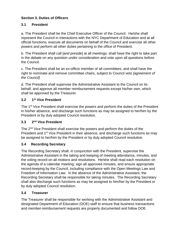# **Section 3. Duties of Officers**

# **3.1 President**

a. The President shall be the Chief Executive Officer of the Council. He/she shall represent the Council in interactions with the NYC Department of Education and at all official functions; execute all documents on behalf of the Council and exercise all other powers and perform all other duties pertaining to the office of President.

b. The President shall call [*and preside*] at all meetings; shall have the right to take part in the debate on any question under consideration and vote upon all questions before the Council.

c. The President shall be an *ex-officio* member of all committees, and shall have the right to nominate and remove committee chairs, subject to Council veto *[agreement of the Council]*

d. The President shall supervise the Administrative Assistant to the Council on its behalf, and approve all member reimbursement requests except his/her own, which shall be approved by the Treasurer.

#### **3.2 1 st Vice President**

The 1<sup>st</sup> Vice President shall exercise the powers and perform the duties of the President in his/her absence, and discharge such functions as may be assigned to her/him by the President or by duly adopted Council resolution.

#### **3.3 2 nd Vice President**

The 2<sup>nd</sup> Vice President shall exercise the powers and perform the duties of the President and 1<sup>st</sup> Vice President in their absence, and discharge such functions as may be assigned to her/him by the President or by duly adopted Council resolution.

# **3.4 Recording Secretary**

The Recording Secretary shall, in conjunction with the President, supervise the Administrative Assistant in the taking and keeping of meeting attendance, minutes, and the voting record on all motions and resolutions. He/she shall read each resolution on the agenda of a calendar meeting; sign all approved minutes, and ensure appropriate record-keeping by the Council, including compliance with the Open Meetings Law and Freedom of Information Law. In the absence of the Administrative Assistant, the Recording Secretary shall be responsible for taking minutes. The Recording Secretary shall also discharge such functions as may be assigned to him/her by the President or by duly adopted Council resolution.

# **3.4 Treasurer**

The Treasurer shall be responsible for working with the Administrative Assistant and designated Department of Education (DOE) staff to ensure that business transactions and member-reimbursement requests are properly documented and follow DOE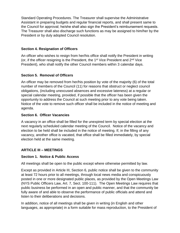Standard Operating Procedures. The Treasurer shall supervise the Administrative Assistant in preparing budgets and regular financial reports, and shall present same to the Council for approval; he/she shall also sign the President's reimbursement requests. The Treasurer shall also discharge such functions as may be assigned to him/her by the President or by duly adopted Council resolution.

# **Section 4. Resignation of Officers**

An officer who wishes to resign from her/his office shall notify the President in writing (or, if the officer resigning is the President, the  $1<sup>st</sup>$  Vice President and  $2<sup>nd</sup>$  Vice President), who shall notify the other Council members within 3 calendar days.

# **Section 5. Removal of Officers**

An officer may be removed from her/his position by vote of the majority (6) of the total number of members of the Council (11) for reasons that obstruct or neglect council obligations, (including unexcused absences and excessive lateness) at a regular or special calendar meeting, provided, if possible that the officer has been given the opportunity to address the Council at such meeting prior to any vote being taken. Notice of the vote to remove such officer shall be included in the notice of meeting and agenda.

## **Section 6. Officer Vacancies**

A vacancy in an office shall be filled for the unexpired term by special election at the next regularly scheduled calendar meeting of the Council. Notice of the vacancy and election to be held shall be included in the notice of meeting. If, in the filling of any vacancy, another office is vacated, that office shall be filled immediately, by special election held at the same meeting.

# **ARTICLE III – MEETINGS**

# **Section 1. Notice & Public Access**

All meetings shall be open to the public except where otherwise permitted by law.

Except as provided in Article III, Section 6, public notice shall be given to the community at least 72 hours prior to all meetings, through local news media and conspicuously posted in one or more designated public places, as provided by the Open Meetings Law (NYS Public Officers Law, Art. 7, Sect. 100-111). The Open Meetings Law requires that public business be performed in an open and public manner, and that the community be fully aware of and able to observe the performance of public officials and attend and listen to their deliberations and decisions.

In addition, notice of all meetings shall be given in writing (in English and other languages, as appropriate) in a form suitable for mass reproduction, to the President of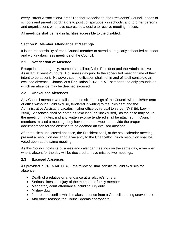every Parent Association/Parent Teacher Association, the Presidents' Council, heads of schools and parent coordinators to post conspicuously in schools, and to other persons and organizations who have expressed a desire to receive meeting notices.

All meetings shall be held in facilities accessible to the disabled.

# **Section 2. Member Attendance at Meetings**

It is the responsibility of each Council member to attend all regularly scheduled calendar and working/business meetings of the Council.

# **2.1 Notification of Absence**

Except in an emergency, members shall notify the President and the Administrative Assistant at least 24 hours, 1 business day prior to the scheduled meeting time of their intent to be absent. However, such notification shall not in and of itself constitute an excused absence; Chancellor's Regulation D-140.IX.A.1 sets forth the only grounds on which an absence may be deemed excused.

# **2.2 Unexcused Absences**

Any Council member who fails to attend six meetings of the Council within his/her term of office without a valid excuse, tendered in writing to the President and the Administrative Assistant, vacates his/her office by refusal to serve (NYS Ed. Law § 2590). Absences shall be noted as "excused" or "unexcused," as the case may be, in the meeting minutes, and any written excuse tendered shall be attached. If Council members missed a meeting, they have up to one week to provide the proper documentation for the absence to be deemed an excused absence.

After the sixth unexcused absence, the President shall, at the next calendar meeting, present a resolution declaring a vacancy to the Chancellor. Such resolution shall be voted upon at the same meeting.

As this Council holds its business and calendar meetings on the same day, a member who is absent for the day will be declared to have missed two meetings.

# **2.3 Excused Absences**

As provided in CR D-140.IX.A.1, the following shall constitute valid excuses for absence:

- Death of a relative or attendance at a relative's funeral
- Serious illness or injury of the member or family member
- Mandatory court attendance including jury duty
- Military duty
- Job-related conflict which makes absence from a Council meeting unavoidable
- And other reasons the Council deems appropriate.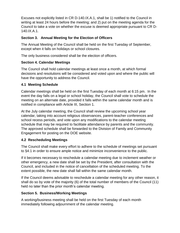Excuses not explicitly listed in CR D-140.IX.A.1, shall be 1) notified to the Council in writing at least 24 hours before the meeting; and 2) put on the meeting agenda for the Council to take a vote on whether the excuse is deemed appropriate pursuant to CR D-140.IX.A.1.

# **Section 3. Annual Meeting for the Election of Officers**

The Annual Meeting of the Council shall be held on the first Tuesday of September, except when it falls on holidays or school closures.

The only business considered shall be the election of officers.

# **Section 4. Calendar Meetings**

The Council shall hold calendar meetings at least once a month, at which formal decisions and resolutions will be considered and voted upon and where the public will have the opportunity to address the Council.

# **4.1 Meeting Schedule**

Calendar meetings shall be held on the first Tuesday of each month at 6:15 pm. In the event the day falls on a legal or school holiday, the Council shall vote to schedule the meeting on an alternate date, provided it falls within the same calendar month and is notified in compliance with Article III, Section 1.

At the July calendar meeting, the Council shall review the upcoming school year calendar, taking into account religious observances, parent-teacher conferences and school recess periods, and vote upon any modifications to the calendar meeting schedule that may be required to facilitate attendance by parents and the community. The approved schedule shall be forwarded to the Division of Family and Community Engagement for posting on the DOE website.

# **4.2 Rescheduling Meetings**

The Council shall make every effort to adhere to the schedule of meetings set pursuant to §4.1 in order to ensure ample notice and minimize inconvenience to the public.

If it becomes necessary to reschedule a calendar meeting due to inclement weather or other emergency, a new date shall be set by the President, after consultation with the Council, and included in the notice of cancellation of the scheduled meeting. To the extent possible, the new date shall fall within the same calendar month.

If the Council deems advisable to reschedule a calendar meeting for any other reason, it shall do so by vote of the majority (6) of the total number of members of the Council (11) held no later than the prior month's calendar meeting.

# **Section 5. Business/Working Meetings**

A working/business meeting shall be held on the first Tuesday of each month immediately following adjournment of the calendar meeting.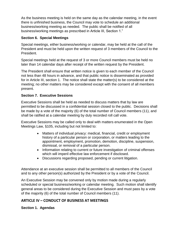As the business meeting is held on the same day as the calendar meeting, in the event there is unfinished business, the Council may vote to schedule an additional business/working meeting as needed. The public shall be notified of all business/working meetings as prescribed in Article III, Section 1."

# **Section 6. Special Meetings**

Special meetings, either business/working or calendar, may be held at the call of the President and must be held upon the written request of 3 members of the Council to the President.

Special meetings held at the request of 3 or more Council members must be held no later than 14 calendar days after receipt of the written request by the President.

The President shall ensure that written notice is given to each member of the Council not less than 48 hours in advance, and that public notice is disseminated as provided for in Article III, section 1. The notice shall state the matter(s) to be considered at the meeting; no other matters may be considered except with the consent of all members present.

# **Section 7. Executive Sessions**

Executive Sessions shall be held as needed to discuss matters that by law are permitted to be discussed in a confidential session closed to the public. Decisions shall be made by a vote of the majority (6) of the total number of Council members (11), and shall be ratified at a calendar meeting by duly recorded roll call vote.

Executive Sessions may be called only to deal with matters enumerated in the Open Meetings Law, §105, including but not limited to:

- Matters of individual privacy: medical, financial, credit or employment history of a particular person or corporation, or matters leading to the appointment, employment, promotion, demotion, discipline, suspension, dismissal, or removal of a particular person.
- Information relating to current or future investigation of criminal offenses which will imperil effective law enforcement if disclosed.
- Discussions regarding proposed, pending or current litigation.

Attendance at an executive session shall be permitted to all members of the Council and to any other person(s) authorized by the President or by a vote of the Council.

An Executive Session may be convened only by motion made during a regularly scheduled or special business/working or calendar meeting. Such motion shall identify general areas to be considered during the Executive Session and must pass by a vote of the majority (6) of the total number of Council members (11).

# **ARTICLE IV – CONDUCT OF BUSINESS AT MEETINGS**

**Section 1. Agendas**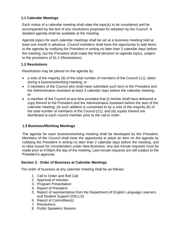# **1.1 Calendar Meetings**

Each notice of a calendar meeting shall state the topic(s) to be considered and be accompanied by the text of any resolutions proposed for adoption by the Council. A detailed agenda shall be available at the meeting.

Agenda topics for each calendar meetings shall be set at a business meeting held at least one month in advance. Council members shall have the opportunity to add items to the agenda by notifying the President in writing no later than 3 calendar days before the meeting, but the President shall make the final decision on agenda topics, subject to the provisions of §1.2 (Resolutions).

# **1.2 Resolutions**

Resolutions may be placed on the agenda by:

- a vote of the majority (6) of the total number of members of the Council (11), taken during a business/working meeting; or
- 3 members of the Council who shall have submitted such item to the President and the Administrative Assistant at least 3 calendar days before the calendar meeting; or
- a member of the Council at any time provided that (i) he/she shall have delivered a copy thereof to the President and the Administrative Assistant before the start of the calendar meeting; (ii) such addition is consented to by a vote of the majority (6) of the total number of members of the Council (11); and (iii) copies thereof are distributed to each council member prior to the call to order.

# **1.3 Business/Working Meetings**

The agenda for each business/working meeting shall be developed by the President. Members of the Council shall have the opportunity to place an item on the agenda by notifying the President in writing no later than 2 calendar days before the meeting, and to raise issues for consideration under New Business. Any last minute requests must be made prior to 4:00pm the day of the meeting. Last minute requests are still subject to the President's approval.

#### **Section 2. Order of Business at Calendar Meetings**

The order of business at any calendar meeting shall be as follows:

- 1. Call to Order and Roll Call
- 2. Approval of minutes
- 3. Program Presentation
- 4. Report of President
- 5. Report of representative from the Department of English Language Learners and Student Support (DELLS)
- 6. Report of Committee(s)
- 7. Resolutions
- 8. Public Speakers Session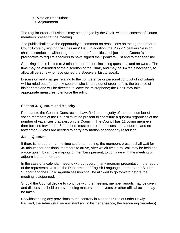9. Vote on Resolutions 10. Adjournment

The regular order of business may be changed by the Chair, with the consent of Council members present at the meeting.

The public shall have the opportunity to comment on resolutions on the agenda prior to Council vote by signing the Speakers' List. In addition, the Public Speakers Session shall be conducted without agenda or other formalities, subject to the Council's prerogative to require speakers to have signed the Speakers' List and to manage time.

Speaking time is limited to 3 minutes per person, including questions and answers. The time may be extended at the discretion of the Chair, and may be limited if necessary to allow all persons who have signed the Speakers' List to speak.

Discussion and charges relating to the competence or personal conduct of individuals will be ruled out of order. A speaker who is ruled out of order forfeits the balance of his/her time and will be directed to leave the microphone; the Chair may take appropriate measures to enforce the ruling.

# **Section 3. Quorum and Majority**

Pursuant to the General Construction Law, § 41, the majority of the total number of voting members of the Council must be present to constitute a quorum regardless of the number of vacancies that exist on the Council. The Council has 11 voting members; therefore, no fewer than 6 members must be present to constitute a quorum and no fewer than 6 votes are needed to carry any motion or adopt any resolution.

#### **3.1 Quorum**

If there is no quorum at the time set for a meeting, the members present shall wait for 45 minutes for additional members to arrive, after which time a roll call may be held and a vote taken, by simple majority of members present, to continue with the meeting or adjourn it to another date.

In the case of a calendar meeting without quorum, any program presentation, the report of the representative from the Department of English Language Learners and Student Support and the Public Agenda session shall be allowed to go forward before the meeting is adjourned.

Should the Council decide to continue with the meeting, member reports may be given and discussions held on any pending matters, but no votes or other official action may be taken.

Notwithstanding any provisions to the contrary in Roberts Rules of Order Newly Revised, the Administrative Assistant (or, in his/her absence, the Recording Secretary)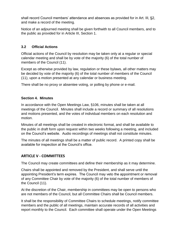shall record Council members' attendance and absences as provided for in Art. III, §2, and make a record of the meeting.

Notice of an adjourned meeting shall be given forthwith to all Council members, and to the public as provided for in Article III, Section 1.

# **3.2 Official Actions**

Official actions of the Council by resolution may be taken only at a regular or special calendar meeting and shall be by vote of the majority (6) of the total number of members of the Council (11).

Except as otherwise provided by law, regulation or these bylaws, all other matters may be decided by vote of the majority (6) of the total number of members of the Council (11), upon a motion presented at any calendar or business meeting.

There shall be no proxy or absentee voting, or polling by phone or e-mail.

#### **Section 4. Minutes**

In accordance with the Open Meetings Law, §106, minutes shall be taken at all meetings of the Council. Minutes shall include a record or summary of all resolutions and motions presented, and the votes of individual members on each resolution and motion.

Minutes of all meetings shall be created in electronic format, and shall be available to the public in draft form upon request within two weeks following a meeting, and included on the Council's website. Audio recordings of meetings shall not constitute minutes.

The minutes of all meetings shall be a matter of public record. A printed copy shall be available for inspection at the Council's office.

# **ARTICLE V - COMMITTEES**

The Council may create committees and define their membership as it may determine.

Chairs shall be appointed and removed by the President, and shall serve until the appointing President's term expires. The Council may veto the appointment or removal of any Committee Chair by vote of the majority (6) of the total number of members of the Council (11).

At the discretion of the Chair, membership in committees may be open to persons who are not members of the Council, but all Committee Chairs shall be Council members.

It shall be the responsibility of Committee Chairs to schedule meetings, notify committee members and the public of all meetings, maintain accurate records of all activities and report monthly to the Council. Each committee shall operate under the Open Meetings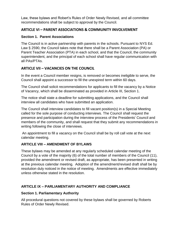Law, these bylaws and Robert's Rules of Order Newly Revised, and all committee recommendations shall be subject to approval by the Council.

# **ARTICLE VI – PARENT ASSOCIATIONS & COMMUNITY INVOLVEMENT**

# **Section 1. Parent Associations**

The Council is in active partnership with parents in the schools. Pursuant to NYS Ed. Law § 2590, the Council takes note that there shall be a Parent Association (PA) or Parent Teacher Association (PTA) in each school, and that the Council, the community superintendent, and the principal of each school shall have regular communication with all PAs/PTAs.

# **ARTICLE VII – VACANCIES ON THE COUNCIL**

In the event a Council member resigns, is removed or becomes ineligible to serve, the Council shall appoint a successor to fill the unexpired term within 60 days.

The Council shall solicit recommendations for applicants to fill the vacancy by a Notice of Vacancy, which shall be disseminated as provided in Article III, Section 1.

The notice shall state a deadline for submitting applications, and the Council shall interview all candidates who have submitted an application.

The Council shall interview candidates to fill vacant position(s) in a Special Meeting called for the sole purpose of conducting interviews. The Council shall request the presence and participation during the interview process of the Presidents' Council and members of the community, and shall request that they submit any recommendations in writing following the close of interviews.

An appointment to fill a vacancy on the Council shall be by roll call vote at the next calendar meeting.

# **ARTICLE VIII – AMENDMENT OF BYLAWS**

These bylaws may be amended at any regularly scheduled calendar meeting of the Council by a vote of the majority (6) of the total number of members of the Council (11), provided the amendment or revised draft, as appropriate, has been presented in writing at the previous calendar meeting. Adoption of the amendment/revised draft shall be by resolution duly noticed in the notice of meeting. Amendments are effective immediately unless otherwise stated in the resolution.

# **ARTICLE IX – PARLIAMENTARY AUTHORITY AND COMPLIANCE**

# **Section 1. Parliamentary Authority**

All procedural questions not covered by these bylaws shall be governed by Roberts Rules of Order Newly Revised.